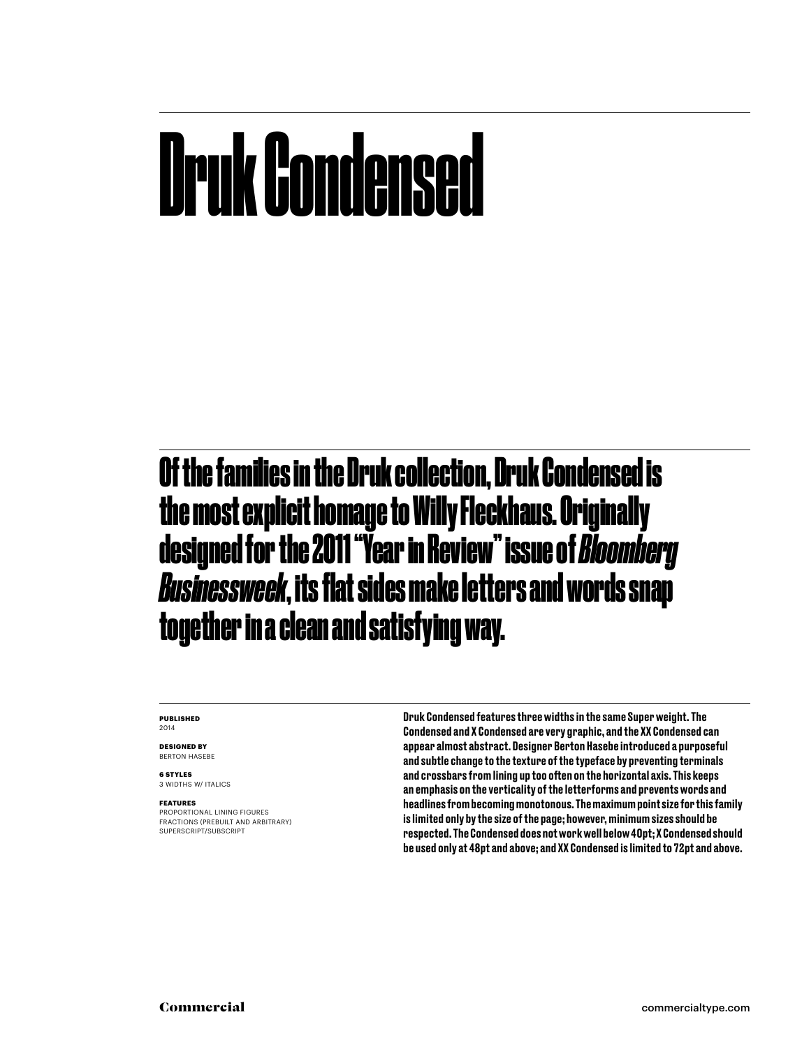### Druk Condensed

Of the families in the Druk collection, Druk Condensed is the most explicit homage to Willy Fleckhaus. Originally designed for the 2011 "Year in Review" issue of *Bloomberg Businessweek*, its flat sides make letters and words snap together in a clean and satisfying way.

### **PUBLISHED** 2014

**DESIGNED BY** BERTON HASEBE

**6 STYLES** 3 WIDTHS W/ ITALICS

### **FEATURES**

PROPORTIONAL LINING FIGURES FRACTIONS (PREBUILT AND ARBITRARY) SUPERSCRIPT/SUBSCRIPT

Druk Condensed features three widths in the same Super weight. The Condensed and X Condensed are very graphic, and the XX Condensed can appear almost abstract. Designer Berton Hasebe introduced a purposeful and subtle change to the texture of the typeface by preventing terminals and crossbars from lining up too often on the horizontal axis. This keeps an emphasis on the verticality of the letterforms and prevents words and headlines from becoming monotonous. The maximum point size for this family is limited only by the size of the page; however, minimum sizes should be respected. The Condensed does not work well below 40pt; X Condensed should be used only at 48pt and above; and XX Condensed is limited to 72pt and above.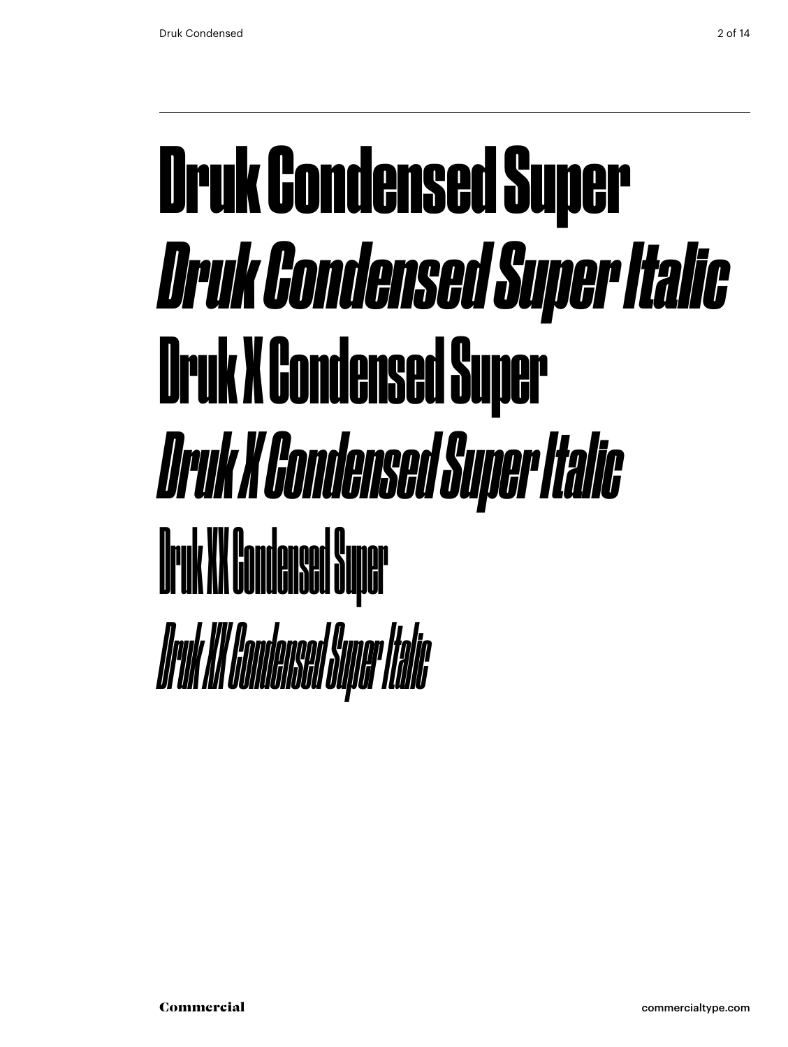### Druk Condensed Super *Druk Condensed Super Italic* Druk X Condensed Super *Druk X Condensed Super Italic* Druk XX Condensed Super *Druk XX Condensed Super Italic*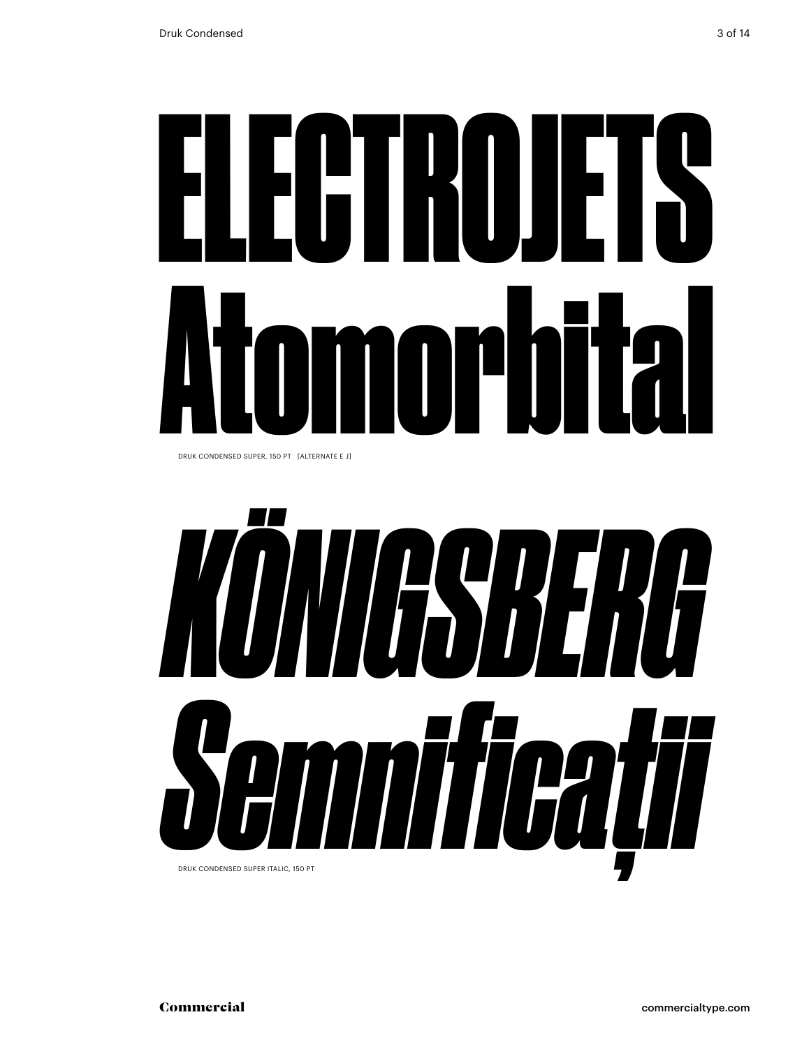# ELECTROJETS Atomorbital

DRUK CONDENSED SUPER, 150 PT [ALTERNATE E J]

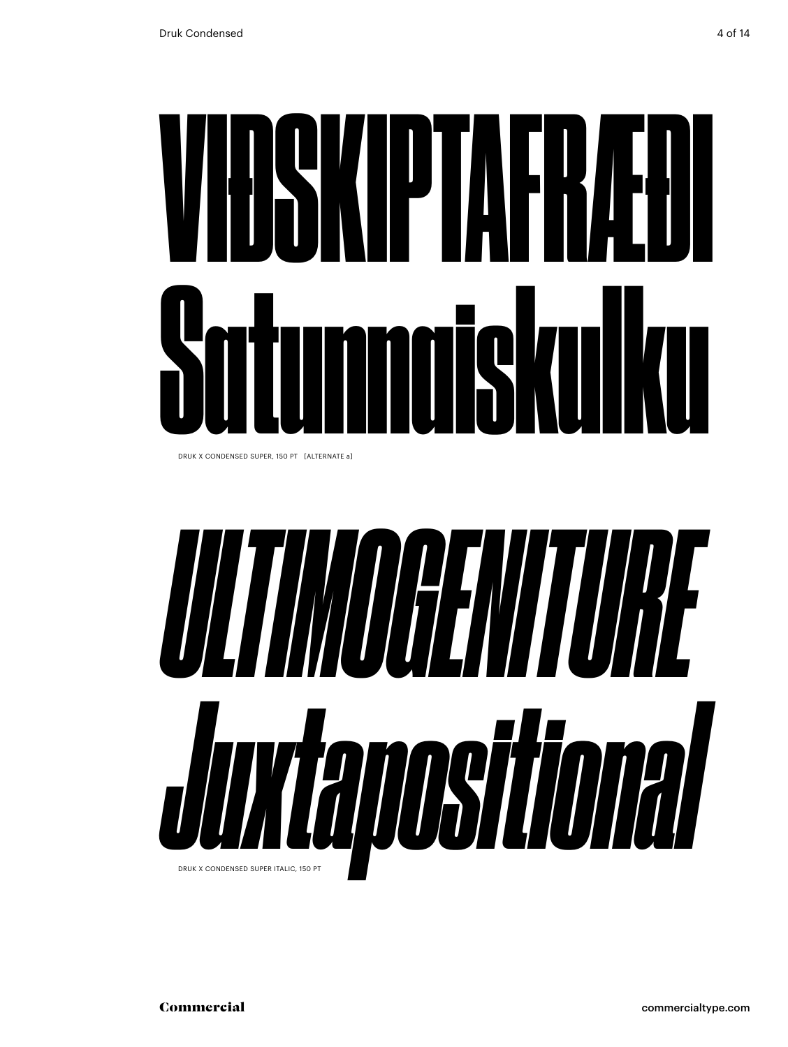# VIÐSKIPTAFRÆÐI Satunnaiskulku

DRUK X CONDENSED SUPER, 150 PT [ALTERNATE a]

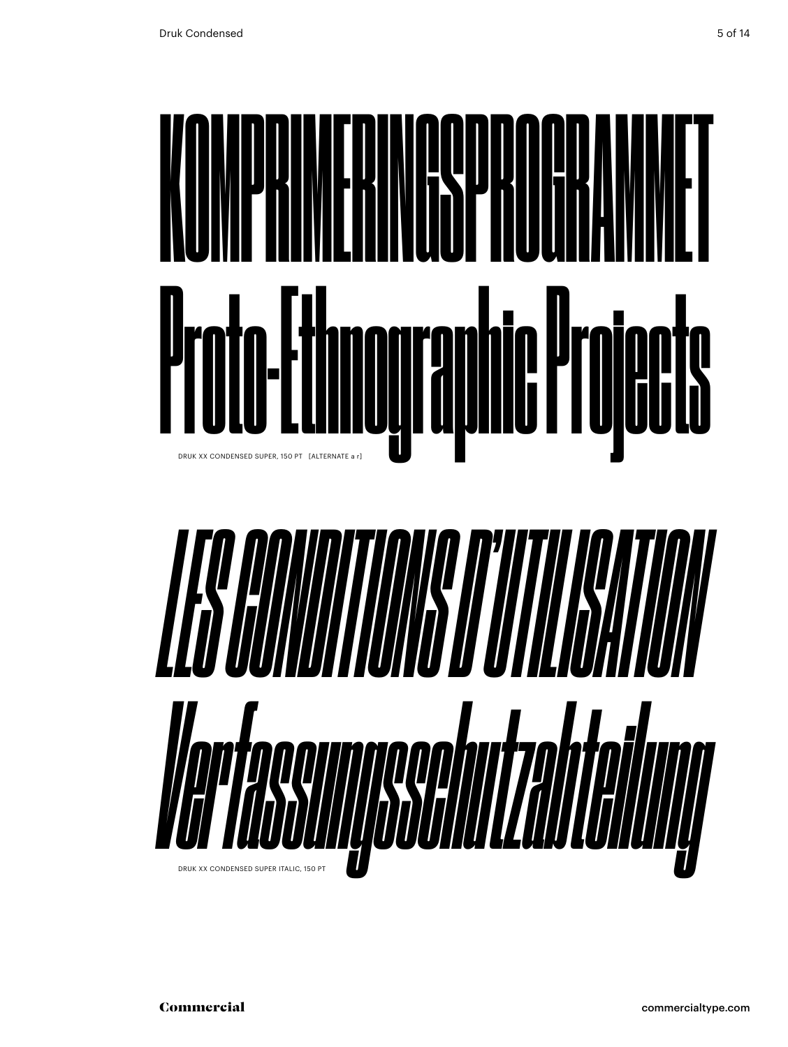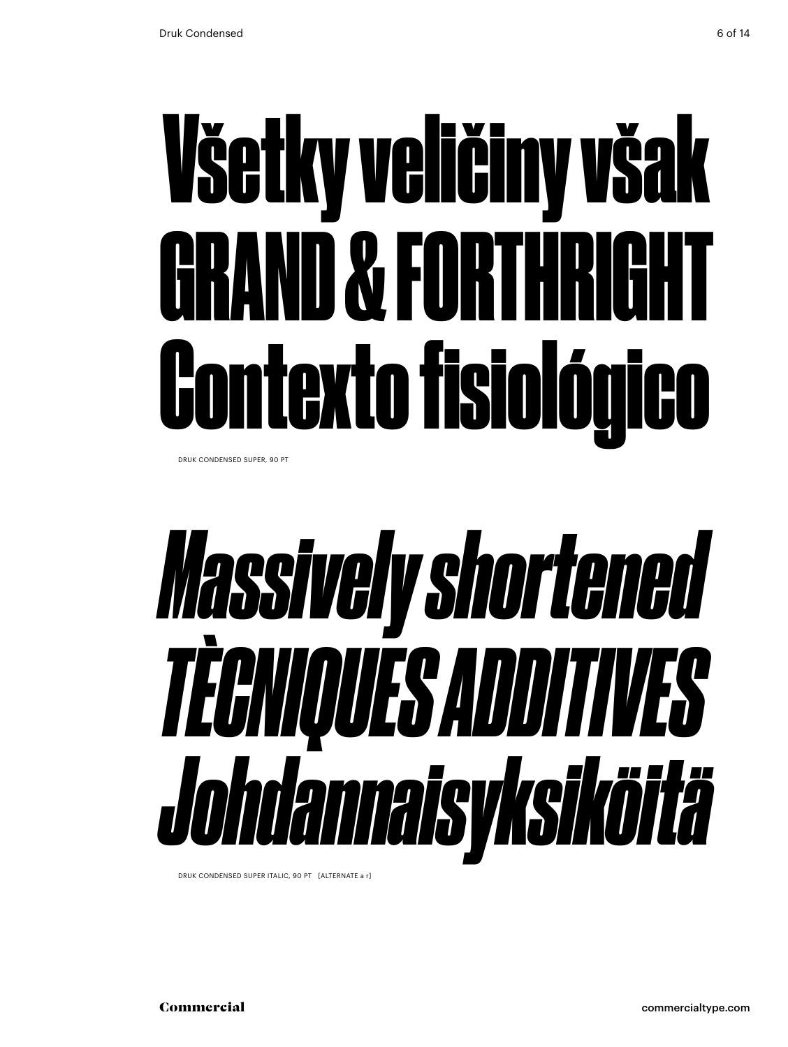## Všetky veličiny však GRAND & FORTHRIGHT Contexto fisiológico

DRUK CONDENSED SUPER, 90 PT

### *Massively shortened TÈCNIQUES ADDITIVES Johdannaisyksiköitä*

DRUK CONDENSED SUPER ITALIC, 90 PT [ALTERNATE a r]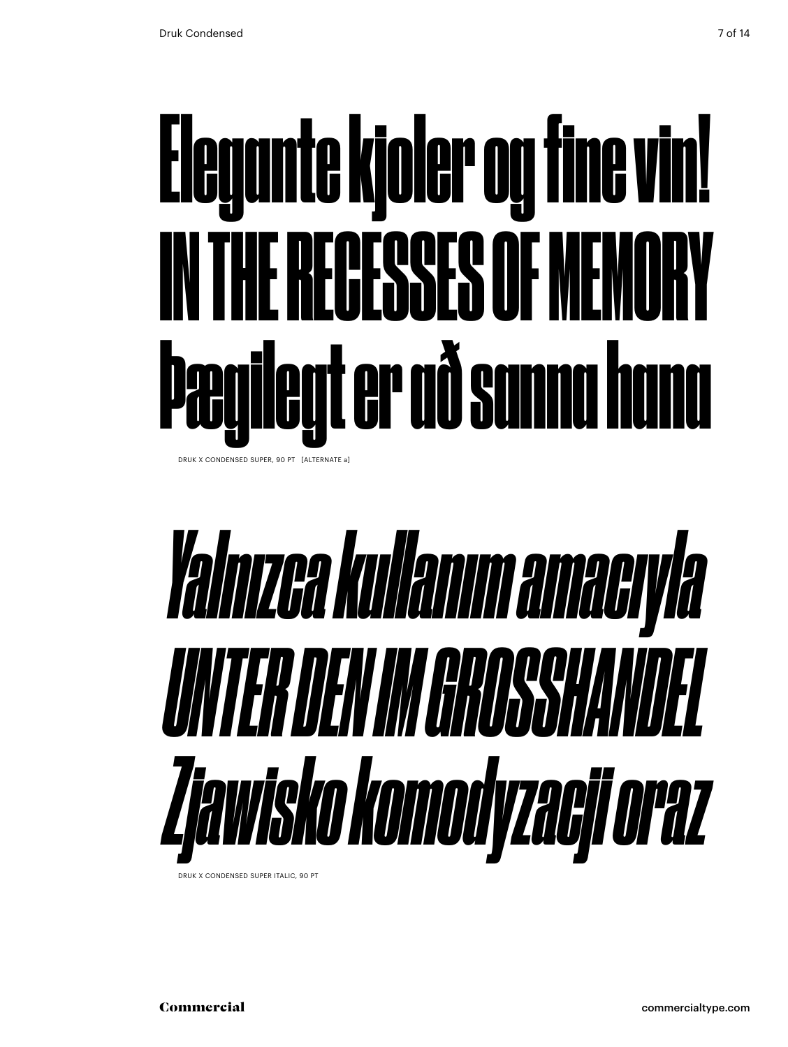## Elegante kjoler og fine vin! IN THE RECESSES OF MEMORY Þægilegt er að sanna hana

DRUK X CONDENSED SUPER, 90 PT [ALTERNATE a]

## *Yalnızca kullanım amacıyla UNTER DEN IM GROSSHANDEL Zjawisko komodyzacji oraz*

DRUK X CONDENSED SUPER ITALIC, 90 PT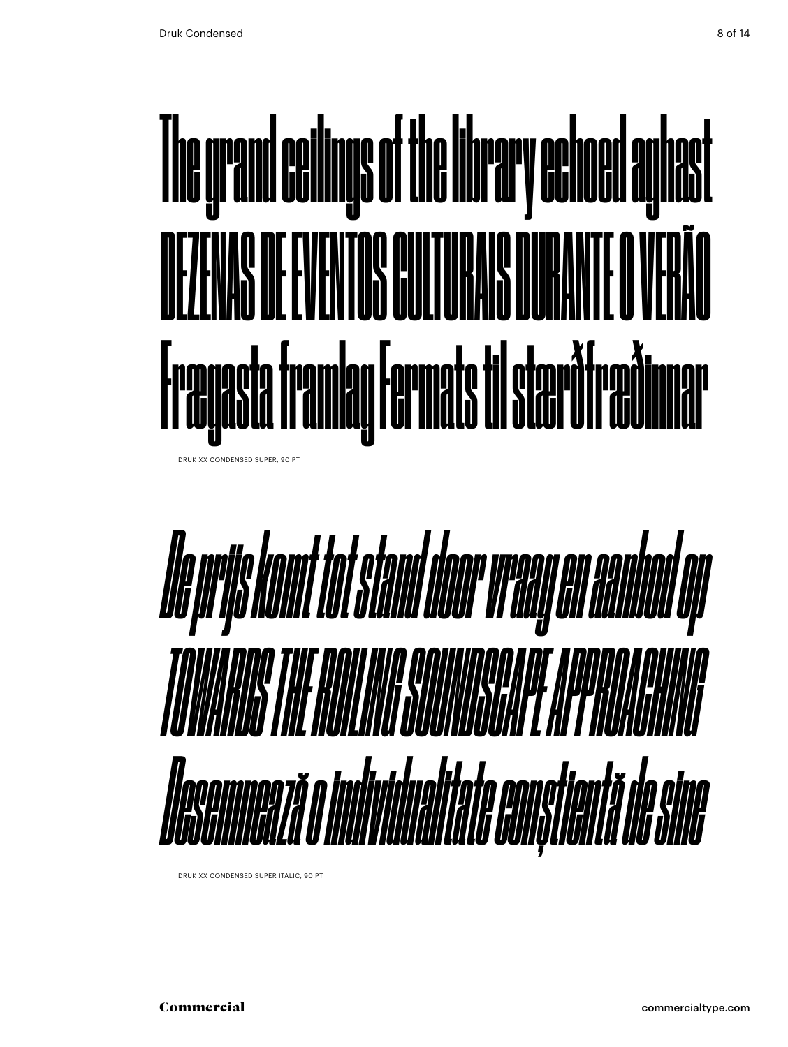

DRUK XX CONDENSED SUPER, 90 PT



DRUK XX CONDENSED SUPER ITALIC, 90 PT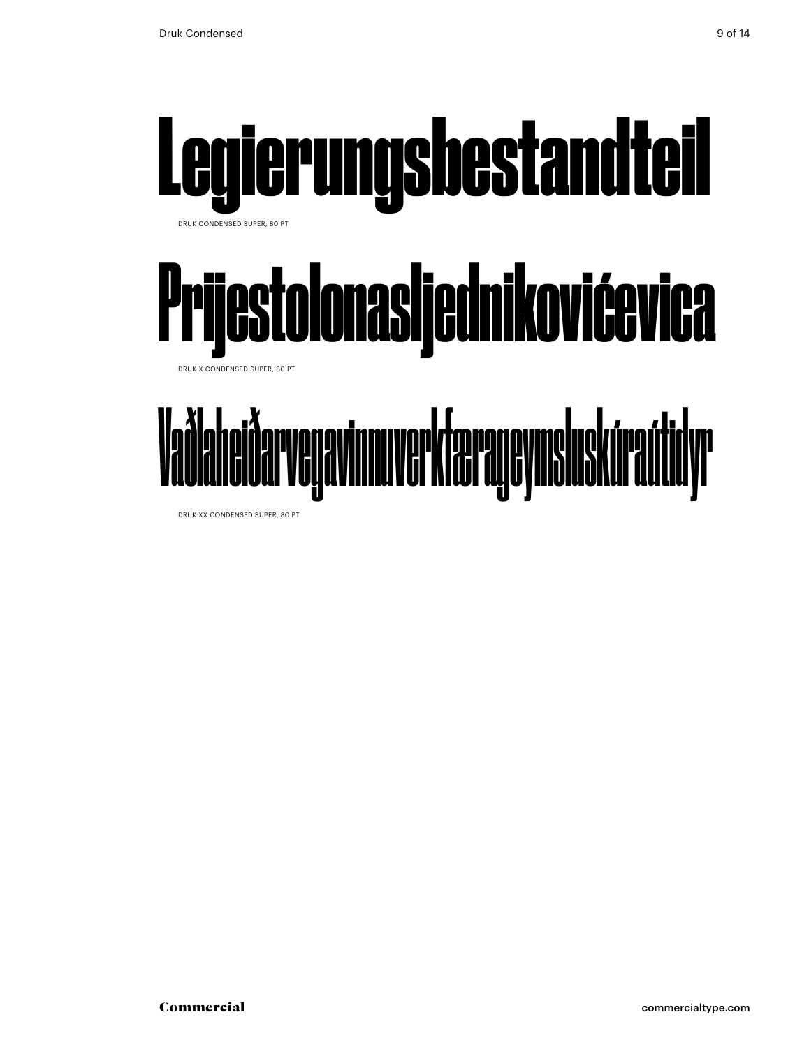

DRUK XX CONDENSED SUPER, 80 PT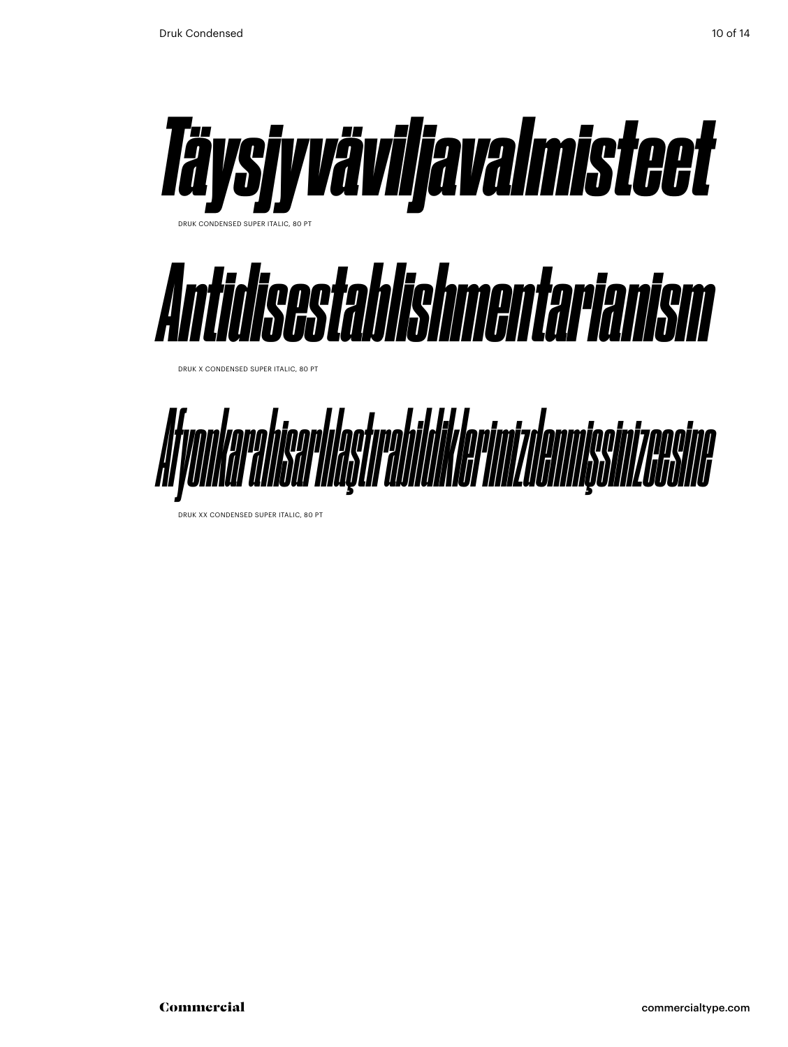

DRUK XX CONDENSED SUPER ITALIC, 80 PT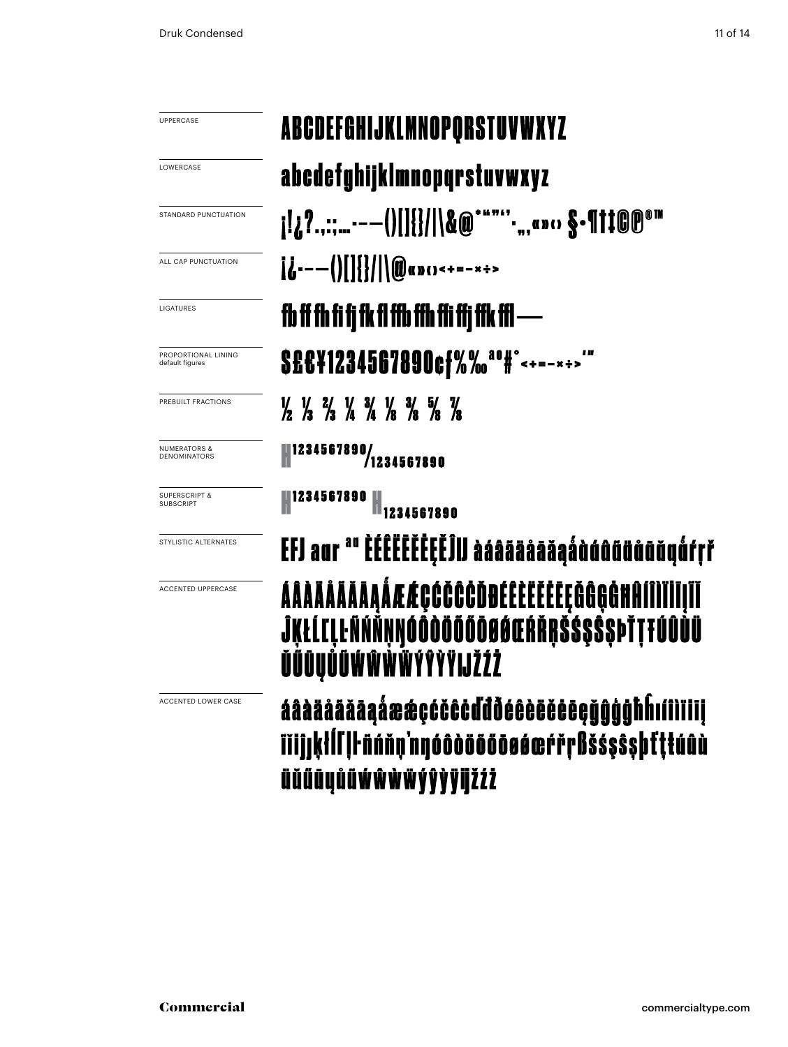| UPPERCASE                                    | ABCDEFGHIJKLMNOPORSTUVWXYZ                                                                                                    |  |
|----------------------------------------------|-------------------------------------------------------------------------------------------------------------------------------|--|
| LOWERCASE                                    | abcdefghijklmnopqrstuvwxyz                                                                                                    |  |
| STANDARD PUNCTUATION                         |                                                                                                                               |  |
| ALL CAP PUNCTUATION                          | $i_{i}$ ---()[]{}/ \@ap()<+=-x+>                                                                                              |  |
| LIGATURES                                    | fb ff fh fi fi fk fl ffb ffh ffi ffi ffk ffl —                                                                                |  |
| PROPORTIONAL LINING<br>default figures       | S£C¥1234567890cf%% <sup>a0#</sup> <sup>°&lt;+=-*+&gt;"</sup>                                                                  |  |
| PREBUILT FRACTIONS                           | $\frac{1}{2}$ $\frac{1}{3}$ $\frac{2}{3}$ $\frac{1}{4}$ $\frac{3}{4}$ $\frac{1}{8}$ $\frac{3}{8}$ $\frac{5}{8}$ $\frac{7}{8}$ |  |
| <b>NUMERATORS &amp;</b><br>DENOMINATORS      | 1234567890/1234567890                                                                                                         |  |
| <b>SUPERSCRIPT &amp;</b><br><b>SUBSCRIPT</b> | 234567890                                                                                                                     |  |
| STYLISTIC ALTERNATES                         | EFJ aur <sup>au</sup> EÉÊËĒĒĒĒĒĒĴIJ àáâääåāăaáàùúûũüûūŭyū́fŗř                                                                 |  |
| <b>ACCENTED UPPERCASE</b>                    | ÁÂÀÄÄÄÄÄĀĄÅÆÆÇĆČČĊĎĐÉÊÈĔĔĔĘĞĜĢĠĦĤÍÎÌĬĪĪĮĨĬ<br>ĴĶŁĹĽĻĿÑŃŇŅŊÓÔŎŎŎŐŌØØŒŔŘŖŠŚŞŜ\$ÞŤŢŦŰÛÙÜ<br>ŬŰŪŲŮŨŴŴŴŴŶŶŸIJŽŹŻ                   |  |
| <b>ACCENTED LOWER CASE</b>                   | áâàääääāaåææçćčĉċďđðéêèëěēeğĝĝģħĥıíîìiiii                                                                                     |  |

İij **TIIjjķłÍl ||· ñńňņ'nyóôdööööøøerrrßšśşŝşþfttúûù** üŭűūyůüwŵwŵýŷỳÿijžźż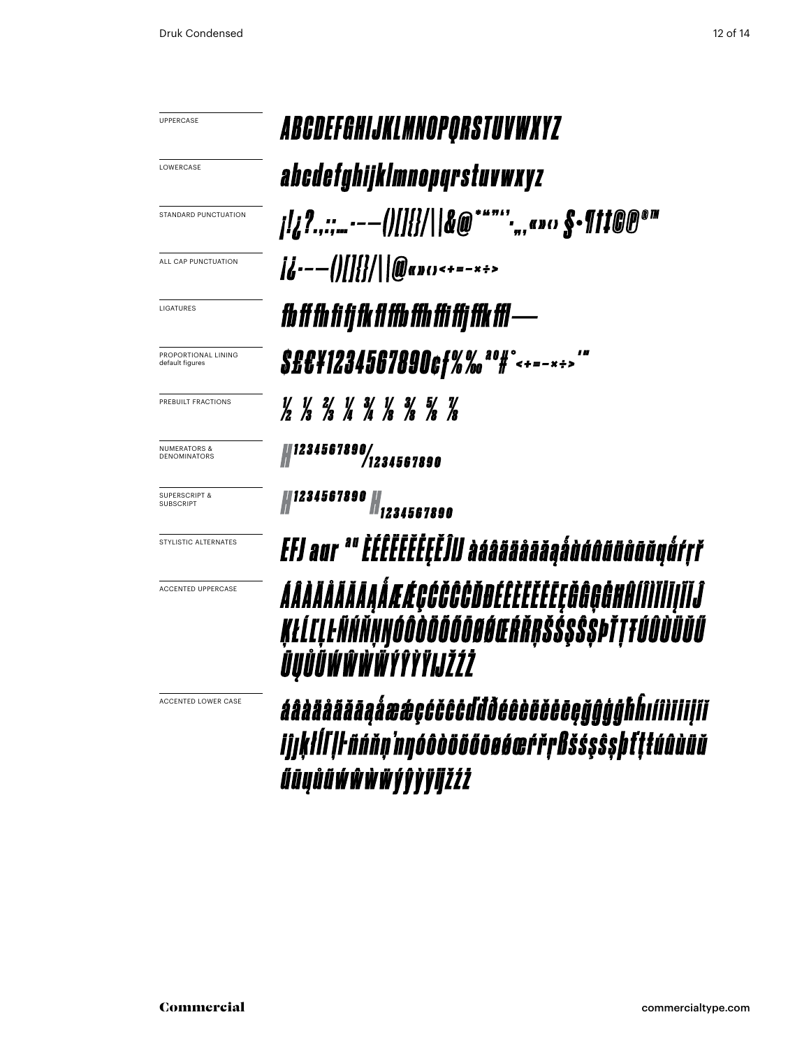UPPERCASE

LOWERCASE

STANDARD PUNCTUATION

ALL CAP PUNCTUATION

LIGATURES

PROPORTIONAL LINING default figures

PREBUILT FRACTIONS

NUMERATORS & DENOMINATORS

SUPERSCRIPT & SUBSCRIPT

STYLISTIC ALTERNATES

ACCENTED UPPERCASE

ACCENTED LOWER CASE

### ABCDEFGHIJKLMNOPORSTUVWXYZ abedefghijklmnopqrstuvwxyz fb ff fh fi fj fk fl ffb ffh ffi ffj ffk ffl-S£C¥1234567890cf%% ao H°<+=- x + > '" 1/ 1/ 2/ 1/ 3/ 1/ 3/ 5/ 7/<br>/2 /3 /3 /4 /4 /8 /8 /8 /8 || 1234567890/<br>| 1234567890/ N 1234567890 N 1234567890

FFJ aur "" EEEEEEEEEEEIJJ àáâãäâāāaáààáâãäâãäåfth ÁÂÀÄÄÄÄÄĀĄÅÆÆÇĠĞĞĞÖDÉÊÈËĔĔĔĘĞĜĢĠĦĤÍÎÌĬĬĬĮĨĬĴ ĸŧĹľĻĿÑŃŇŅŊÓÔŎŎŎŎŎŌŪŔŔĸŠŠŞŜ\$ÞŤŢŦŰÛÙŬŬŰ ŪŲŮŨŴŴŴŴŶŶŶŸIJŽŹŻ

áâàääããāąåææçćčĉċďdõéêèëĕēeğĝģģħĥıílliliļiï ijjķłĺľ ļŀñńňņ'nnyóôòööőōøéœŕřŗßšśşŝşþťţŧúûùüŭ ŰŪŲŮŨŴŴŴŴÝŶŶŸijŽŹŻ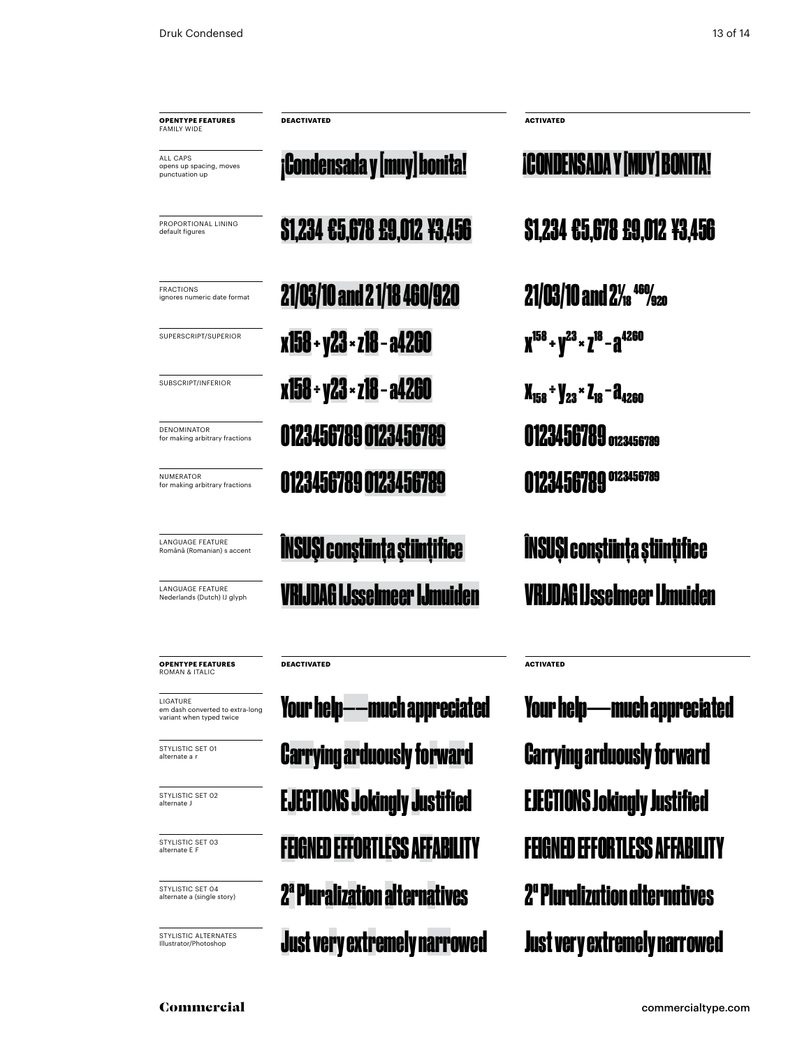| <b>OPENTYPE FEATURES</b><br>FAMILY WIDE               | <b>DEACTIVATED</b>            | <b>ACTIVATED</b>                             |
|-------------------------------------------------------|-------------------------------|----------------------------------------------|
| ALL CAPS<br>opens up spacing, moves<br>punctuation up | ¡Condensada y [muy] honita!   | <b>ICONDENSADA Y [MUY] BONITA!</b>           |
| PROPORTIONAL LINING<br>default figures                | \$1,234 £5,678 £9,012 ¥3,456  | \$1,234 €5,678 £9,012 ¥3,456                 |
| <b>FRACTIONS</b><br>ignores numeric date format       | 21/03/10 and 21/18 460/920    | $21/03/10$ and $2\frac{1}{18}$ $460/920$     |
| SUPERSCRIPT/SUPERIOR                                  | x158 + y23 × z18 - a4260      | $X^{158}$ + $Y^{23}$ × $Z^{18}$ – $A^{4260}$ |
| SUBSCRIPT/INFERIOR                                    | x158 + y23 × z18 - a4260      | $X_{158}$ + $Y_{23}$ × $Z_{18}$ – $Z_{4260}$ |
| <b>DENOMINATOR</b><br>for making arbitrary fractions  | 0123456789 0123456789         | 0123456789 0123456789                        |
| NUMERATOR<br>for making arbitrary fractions           | 0123456789 0123456789         | 0123456789<br>0123456789                     |
| LANGUAGE FEATURE<br>Română (Romanian) s accent        | ÎNSUȘI conștiința științifice | <b>ÎNSUȘI conștiința științifice</b>         |
| LANGUAGE FEATURE<br>Nederlands (Dutch) IJ glyph       | VRIJDAG IJsselmeer IJmuiden   | /RIJDAG IJsselmeer IJmuiden                  |
|                                                       |                               |                                              |

**DEACTIVATED ACTIVATED**

Carrying arduously forward

Your help——much appreciated

Carrying arduously forward Your help——much appreciated EJECTIONS Jokingly Justified EJECTIONS Jokingly Justified FEIGNED EFFORTLESS AFFABILITY FEIGNED EFFORTLESS AFFABI 2ª Pluralization alternatives 2ª Pluralization alternatives Just very extremely narrowed Just very extremely narrowed

Commercial commercialtype.com

**OPENTYPE FEATURES** ROMAN & ITALIC

em dash converted to extra-long variant when typed twice

STYLISTIC SET 01 alternate a r

STYLISTIC SET 02 alternate J

STYLISTIC SET 03 alternate E F

STYLISTIC SET 04 alternate a (single story)

STYLISTIC ALTERNATES Illustrator/Photoshop

LIGATURE